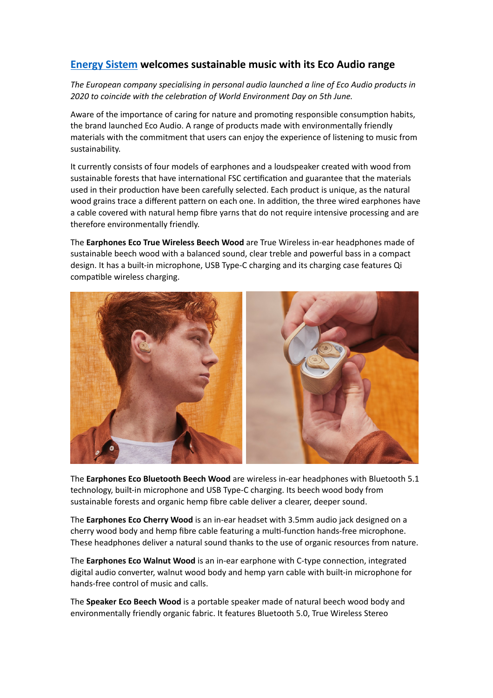## **[Energy Sistem](https://www.energysistem.com/en_es/) welcomes sustainable music with its Eco Audio range**

*The European company specialising in personal audio launched a line of Eco Audio products in*  2020 to coincide with the celebration of World Environment Day on 5th June.

Aware of the importance of caring for nature and promoting responsible consumption habits, the brand launched Eco Audio. A range of products made with environmentally friendly materials with the commitment that users can enjoy the experience of listening to music from sustainability.

It currently consists of four models of earphones and a loudspeaker created with wood from sustainable forests that have international FSC certification and guarantee that the materials used in their production have been carefully selected. Each product is unique, as the natural wood grains trace a different pattern on each one. In addition, the three wired earphones have a cable covered with natural hemp fibre yarns that do not require intensive processing and are therefore environmentally friendly.

The **Earphones Eco True Wireless Beech Wood** are True Wireless in-ear headphones made of sustainable beech wood with a balanced sound, clear treble and powerful bass in a compact design. It has a built-in microphone, USB Type-C charging and its charging case features Qi compatible wireless charging.



The **Earphones Eco Bluetooth Beech Wood** are wireless in-ear headphones with Bluetooth 5.1 technology, built-in microphone and USB Type-C charging. Its beech wood body from sustainable forests and organic hemp fibre cable deliver a clearer, deeper sound.

The **Earphones Eco Cherry Wood** is an in-ear headset with 3.5mm audio jack designed on a cherry wood body and hemp fibre cable featuring a multi-function hands-free microphone. These headphones deliver a natural sound thanks to the use of organic resources from nature.

The **Earphones Eco Walnut Wood** is an in-ear earphone with C-type connection, integrated digital audio converter, walnut wood body and hemp yarn cable with built-in microphone for hands-free control of music and calls.

The **Speaker Eco Beech Wood** is a portable speaker made of natural beech wood body and environmentally friendly organic fabric. It features Bluetooth 5.0, True Wireless Stereo